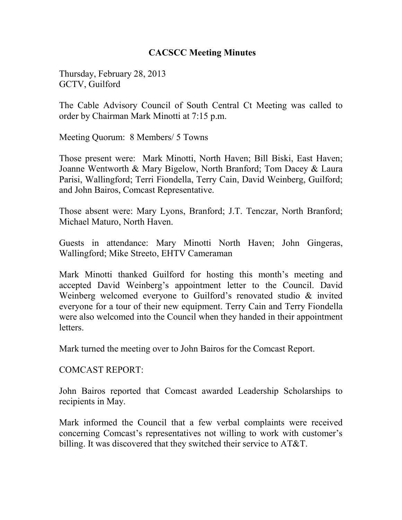#### **CACSCC Meeting Minutes**

Thursday, February 28, 2013 GCTV, Guilford

The Cable Advisory Council of South Central Ct Meeting was called to order by Chairman Mark Minotti at 7:15 p.m.

Meeting Quorum: 8 Members/ 5 Towns

Those present were: Mark Minotti, North Haven; Bill Biski, East Haven; Joanne Wentworth & Mary Bigelow, North Branford; Tom Dacey & Laura Parisi, Wallingford; Terri Fiondella, Terry Cain, David Weinberg, Guilford; and John Bairos, Comcast Representative.

Those absent were: Mary Lyons, Branford; J.T. Tenczar, North Branford; Michael Maturo, North Haven.

Guests in attendance: Mary Minotti North Haven; John Gingeras, Wallingford; Mike Streeto, EHTV Cameraman

Mark Minotti thanked Guilford for hosting this month's meeting and accepted David Weinberg's appointment letter to the Council. David Weinberg welcomed everyone to Guilford's renovated studio & invited everyone for a tour of their new equipment. Terry Cain and Terry Fiondella were also welcomed into the Council when they handed in their appointment letters.

Mark turned the meeting over to John Bairos for the Comcast Report.

COMCAST REPORT:

John Bairos reported that Comcast awarded Leadership Scholarships to recipients in May.

Mark informed the Council that a few verbal complaints were received concerning Comcast's representatives not willing to work with customer's billing. It was discovered that they switched their service to AT&T.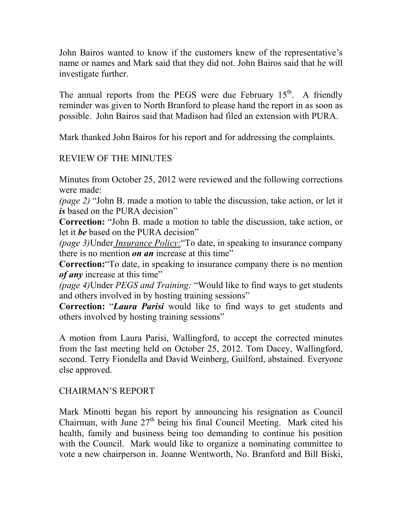John Bairos wanted to know if the customers knew of the representative's name or names and Mark said that they did not. John Bairos said that he will investigate further.

The annual reports from the PEGS were due February  $15<sup>th</sup>$ . A friendly reminder was given to North Branford to please hand the report in as soon as possible. John Bairos said that Madison had filed an extension with PURA.

Mark thanked John Bairos for his report and for addressing the complaints.

# REVIEW OF THE MINUTES

Minutes from October 25, 2012 were reviewed and the following corrections were made:

*(page 2)* "John B. made a motion to table the discussion, take action, or let it *is* based on the PURA decision"

**Correction:** "John B. made a motion to table the discussion, take action, or let it *be* based on the PURA decision"

*(page 3)*Under *Insurance Policy:*"To date, in speaking to insurance company there is no mention *on an* increase at this time"

**Correction:**"To date, in speaking to insurance company there is no mention *of any* increase at this time"

*(page 4)*Under *PEGS and Training:* "Would like to find ways to get students and others involved in by hosting training sessions"

**Correction:** "*Laura Parisi* would like to find ways to get students and others involved by hosting training sessions"

A motion from Laura Parisi, Wallingford, to accept the corrected minutes from the last meeting held on October 25, 2012. Tom Dacey, Wallingford, second. Terry Fiondella and David Weinberg, Guilford, abstained. Everyone else approved.

## CHAIRMAN'S REPORT

Mark Minotti began his report by announcing his resignation as Council Chairman, with June  $27<sup>th</sup>$  being his final Council Meeting. Mark cited his health, family and business being too demanding to continue his position with the Council. Mark would like to organize a nominating committee to vote a new chairperson in. Joanne Wentworth, No. Branford and Bill Biski,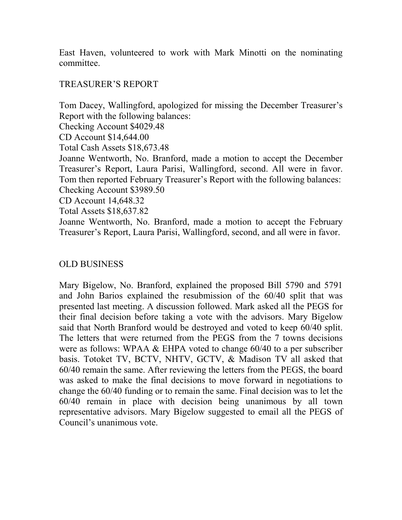East Haven, volunteered to work with Mark Minotti on the nominating committee.

## TREASURER'S REPORT

Tom Dacey, Wallingford, apologized for missing the December Treasurer's Report with the following balances: Checking Account \$4029.48 CD Account \$14,644.00 Total Cash Assets \$18,673.48

Joanne Wentworth, No. Branford, made a motion to accept the December Treasurer's Report, Laura Parisi, Wallingford, second. All were in favor. Tom then reported February Treasurer's Report with the following balances: Checking Account \$3989.50

CD Account 14,648.32

Total Assets \$18,637.82

Joanne Wentworth, No. Branford, made a motion to accept the February Treasurer's Report, Laura Parisi, Wallingford, second, and all were in favor.

## OLD BUSINESS

Mary Bigelow, No. Branford, explained the proposed Bill 5790 and 5791 and John Barios explained the resubmission of the 60/40 split that was presented last meeting. A discussion followed. Mark asked all the PEGS for their final decision before taking a vote with the advisors. Mary Bigelow said that North Branford would be destroyed and voted to keep 60/40 split. The letters that were returned from the PEGS from the 7 towns decisions were as follows: WPAA & EHPA voted to change 60/40 to a per subscriber basis. Totoket TV, BCTV, NHTV, GCTV, & Madison TV all asked that 60/40 remain the same. After reviewing the letters from the PEGS, the board was asked to make the final decisions to move forward in negotiations to change the 60/40 funding or to remain the same. Final decision was to let the 60/40 remain in place with decision being unanimous by all town representative advisors. Mary Bigelow suggested to email all the PEGS of Council's unanimous vote.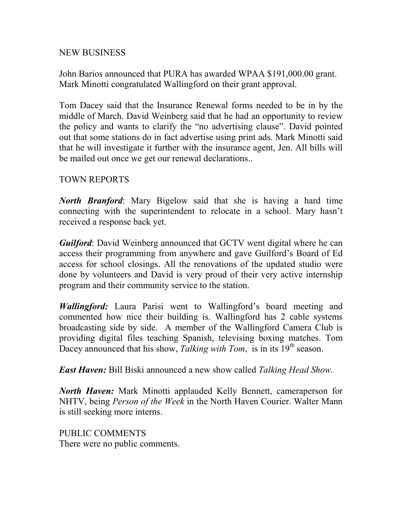#### NEW BUSINESS

John Barios announced that PURA has awarded WPAA \$191,000.00 grant. Mark Minotti congratulated Wallingford on their grant approval.

Tom Dacey said that the Insurance Renewal forms needed to be in by the middle of March. David Weinberg said that he had an opportunity to review the policy and wants to clarify the "no advertising clause". David pointed out that some stations do in fact advertise using print ads. Mark Minotti said that he will investigate it further with the insurance agent, Jen. All bills will be mailed out once we get our renewal declarations..

#### TOWN REPORTS

*North Branford*: Mary Bigelow said that she is having a hard time connecting with the superintendent to relocate in a school. Mary hasn't received a response back yet.

*Guilford*: David Weinberg announced that GCTV went digital where he can access their programming from anywhere and gave Guilford's Board of Ed access for school closings. All the renovations of the updated studio were done by volunteers and David is very proud of their very active internship program and their community service to the station.

*Wallingford:* Laura Parisi went to Wallingford's board meeting and commented how nice their building is. Wallingford has 2 cable systems broadcasting side by side. A member of the Wallingford Camera Club is providing digital files teaching Spanish, televising boxing matches. Tom Dacey announced that his show, *Talking with Tom*, is in its 19<sup>th</sup> season.

*East Haven:* Bill Biski announced a new show called *Talking Head Show.* 

*North Haven:* Mark Minotti applauded Kelly Bennett, cameraperson for NHTV, being *Person of the Week* in the North Haven Courier. Walter Mann is still seeking more interns.

PUBLIC COMMENTS There were no public comments.